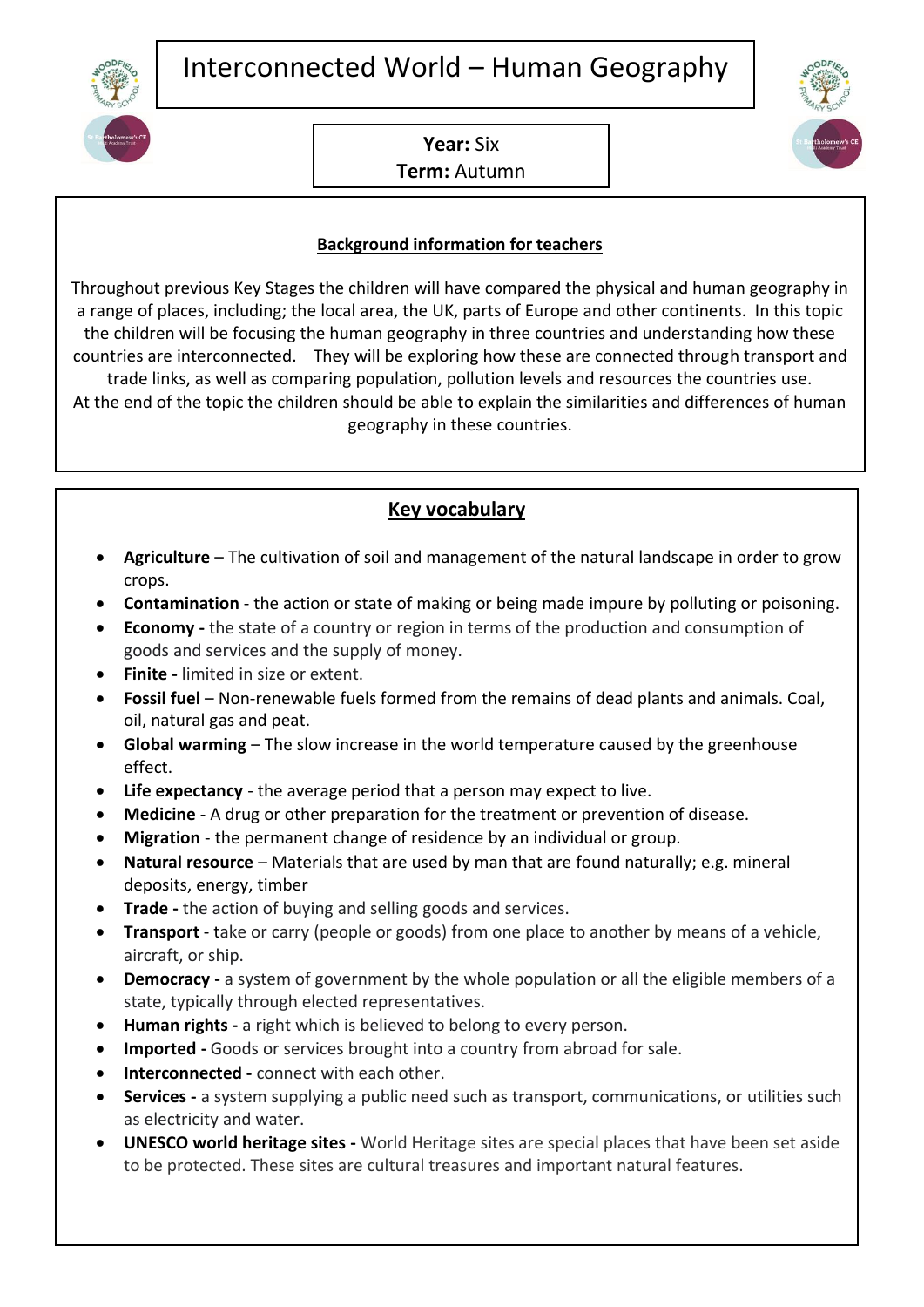

**Year:** Six **Term:** Autumn

## **Background information for teachers**

Throughout previous Key Stages the children will have compared the physical and human geography in a range of places, including; the local area, the UK, parts of Europe and other continents. In this topic the children will be focusing the human geography in three countries and understanding how these countries are interconnected. They will be exploring how these are connected through transport and trade links, as well as comparing population, pollution levels and resources the countries use. At the end of the topic the children should be able to explain the similarities and differences of human geography in these countries.

## **Key vocabulary**

- **Agriculture** The cultivation of soil and management of the natural landscape in order to grow crops.
- **Contamination** the action or state of making or being made impure by polluting or poisoning.
- **Economy -** the state of a country or region in terms of the production and consumption of goods and services and the supply of money.
- **Finite -** limited in size or extent.
- **Fossil fuel** Non-renewable fuels formed from the remains of dead plants and animals. Coal, oil, natural gas and peat.
- **Global warming** The slow increase in the world temperature caused by the greenhouse effect.
- **Life expectancy** the average period that a person may expect to live.
- **Medicine** A drug or other preparation for the treatment or prevention of disease.
- **Migration**  the permanent change of residence by an individual or group.
- **Natural resource** Materials that are used by man that are found naturally; e.g. mineral deposits, energy, timber
- **Trade -** the action of buying and selling goods and services.
- **Transport** take or carry (people or goods) from one place to another by means of a vehicle, aircraft, or ship.
- **Democracy -** a system of government by the whole population or all the eligible members of a state, typically through elected representatives.
- **Human rights -** a right which is believed to belong to every person.
- **Imported -** Goods or services brought into a country from abroad for sale.
- **Interconnected -** connect with each other.
- **Services -** a system supplying a public need such as transport, communications, or utilities such as electricity and water.
- **UNESCO world heritage sites -** World Heritage sites are special places that have been set aside to be protected. These sites are cultural treasures and important natural features.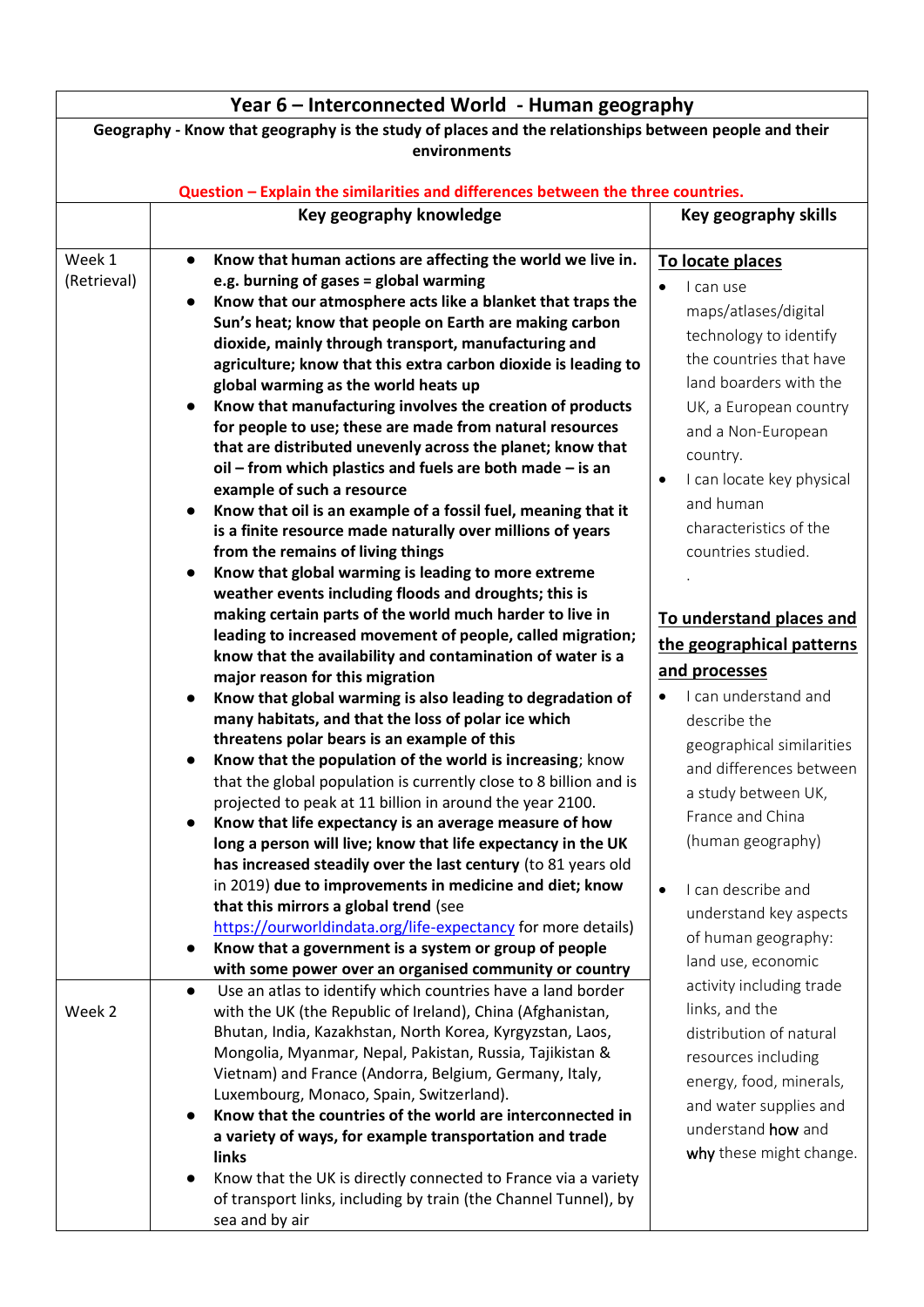|                                                                                                       | Year 6 – Interconnected World - Human geography                                  |                           |  |  |
|-------------------------------------------------------------------------------------------------------|----------------------------------------------------------------------------------|---------------------------|--|--|
| Geography - Know that geography is the study of places and the relationships between people and their |                                                                                  |                           |  |  |
| environments                                                                                          |                                                                                  |                           |  |  |
|                                                                                                       |                                                                                  |                           |  |  |
|                                                                                                       | Question - Explain the similarities and differences between the three countries. |                           |  |  |
|                                                                                                       | Key geography knowledge                                                          | Key geography skills      |  |  |
| Week 1                                                                                                | Know that human actions are affecting the world we live in.                      |                           |  |  |
| (Retrieval)                                                                                           | $\bullet$<br>e.g. burning of gases = global warming                              | To locate places          |  |  |
|                                                                                                       | Know that our atmosphere acts like a blanket that traps the<br>$\bullet$         | I can use                 |  |  |
|                                                                                                       | Sun's heat; know that people on Earth are making carbon                          | maps/atlases/digital      |  |  |
|                                                                                                       | dioxide, mainly through transport, manufacturing and                             | technology to identify    |  |  |
|                                                                                                       | agriculture; know that this extra carbon dioxide is leading to                   | the countries that have   |  |  |
|                                                                                                       | global warming as the world heats up                                             | land boarders with the    |  |  |
|                                                                                                       | Know that manufacturing involves the creation of products<br>$\bullet$           | UK, a European country    |  |  |
|                                                                                                       | for people to use; these are made from natural resources                         |                           |  |  |
|                                                                                                       | that are distributed unevenly across the planet; know that                       | and a Non-European        |  |  |
|                                                                                                       | oil - from which plastics and fuels are both made - is an                        | country.                  |  |  |
|                                                                                                       | example of such a resource                                                       | I can locate key physical |  |  |
|                                                                                                       | Know that oil is an example of a fossil fuel, meaning that it<br>$\bullet$       | and human                 |  |  |
|                                                                                                       | is a finite resource made naturally over millions of years                       | characteristics of the    |  |  |
|                                                                                                       | from the remains of living things                                                | countries studied.        |  |  |
|                                                                                                       | Know that global warming is leading to more extreme                              |                           |  |  |
|                                                                                                       | weather events including floods and droughts; this is                            |                           |  |  |
|                                                                                                       | making certain parts of the world much harder to live in                         | To understand places and  |  |  |
|                                                                                                       | leading to increased movement of people, called migration;                       |                           |  |  |
|                                                                                                       | know that the availability and contamination of water is a                       | the geographical patterns |  |  |
|                                                                                                       | major reason for this migration                                                  | and processes             |  |  |
|                                                                                                       | Know that global warming is also leading to degradation of<br>$\bullet$          | I can understand and      |  |  |
|                                                                                                       | many habitats, and that the loss of polar ice which                              | describe the              |  |  |
|                                                                                                       | threatens polar bears is an example of this                                      | geographical similarities |  |  |
|                                                                                                       | Know that the population of the world is increasing; know                        | and differences between   |  |  |
|                                                                                                       | that the global population is currently close to 8 billion and is                |                           |  |  |
|                                                                                                       | projected to peak at 11 billion in around the year 2100.                         | a study between UK,       |  |  |
|                                                                                                       | Know that life expectancy is an average measure of how<br>$\bullet$              | France and China          |  |  |
|                                                                                                       | long a person will live; know that life expectancy in the UK                     | (human geography)         |  |  |
|                                                                                                       | has increased steadily over the last century (to 81 years old                    |                           |  |  |
|                                                                                                       | in 2019) due to improvements in medicine and diet; know                          | I can describe and        |  |  |
|                                                                                                       | that this mirrors a global trend (see                                            | understand key aspects    |  |  |
|                                                                                                       | https://ourworldindata.org/life-expectancy for more details)                     | of human geography:       |  |  |
|                                                                                                       | Know that a government is a system or group of people<br>$\bullet$               | land use, economic        |  |  |
|                                                                                                       | with some power over an organised community or country                           | activity including trade  |  |  |
|                                                                                                       | Use an atlas to identify which countries have a land border<br>$\bullet$         |                           |  |  |
| Week 2                                                                                                | with the UK (the Republic of Ireland), China (Afghanistan,                       | links, and the            |  |  |
|                                                                                                       | Bhutan, India, Kazakhstan, North Korea, Kyrgyzstan, Laos,                        | distribution of natural   |  |  |
|                                                                                                       | Mongolia, Myanmar, Nepal, Pakistan, Russia, Tajikistan &                         | resources including       |  |  |
|                                                                                                       | Vietnam) and France (Andorra, Belgium, Germany, Italy,                           | energy, food, minerals,   |  |  |
|                                                                                                       | Luxembourg, Monaco, Spain, Switzerland).                                         | and water supplies and    |  |  |
|                                                                                                       | Know that the countries of the world are interconnected in                       | understand how and        |  |  |
|                                                                                                       | a variety of ways, for example transportation and trade<br>links                 | why these might change.   |  |  |
|                                                                                                       | Know that the UK is directly connected to France via a variety                   |                           |  |  |
|                                                                                                       | of transport links, including by train (the Channel Tunnel), by                  |                           |  |  |
|                                                                                                       | sea and by air                                                                   |                           |  |  |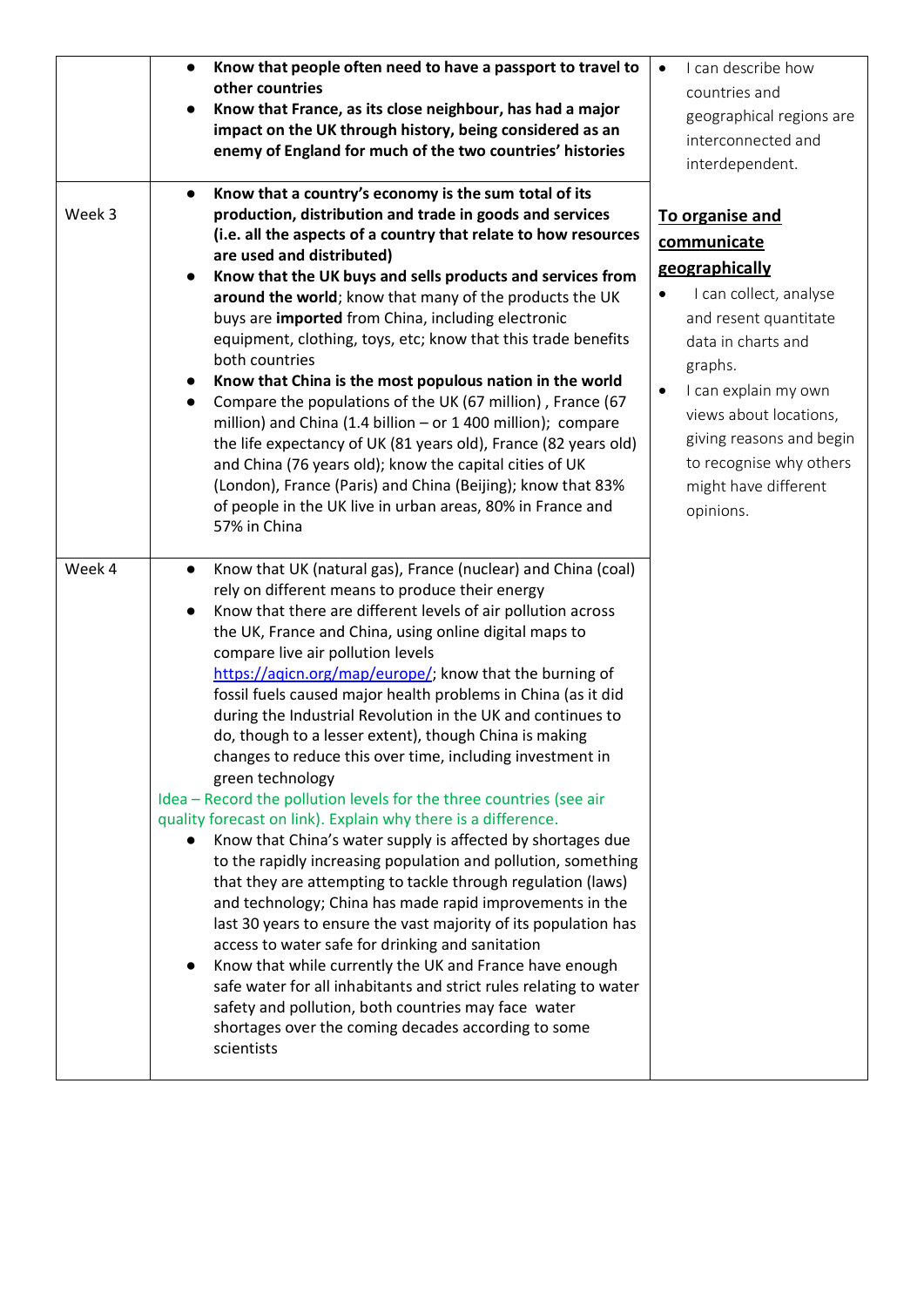| Week 3 | Know that people often need to have a passport to travel to<br>$\bullet$<br>other countries<br>Know that France, as its close neighbour, has had a major<br>impact on the UK through history, being considered as an<br>enemy of England for much of the two countries' histories<br>Know that a country's economy is the sum total of its<br>$\bullet$<br>production, distribution and trade in goods and services<br>(i.e. all the aspects of a country that relate to how resources<br>are used and distributed)<br>Know that the UK buys and sells products and services from<br>around the world; know that many of the products the UK<br>buys are imported from China, including electronic<br>equipment, clothing, toys, etc; know that this trade benefits<br>both countries<br>Know that China is the most populous nation in the world<br>Compare the populations of the UK (67 million), France (67<br>$\bullet$<br>million) and China (1.4 billion - or 1 400 million); compare                                                                                                                                                                                                                                                                                                                                                                                                                                                        | I can describe how<br>$\bullet$<br>countries and<br>geographical regions are<br>interconnected and<br>interdependent.<br>To organise and<br>communicate<br>geographically<br>I can collect, analyse<br>and resent quantitate<br>data in charts and<br>graphs.<br>I can explain my own<br>views about locations,<br>giving reasons and begin |
|--------|-----------------------------------------------------------------------------------------------------------------------------------------------------------------------------------------------------------------------------------------------------------------------------------------------------------------------------------------------------------------------------------------------------------------------------------------------------------------------------------------------------------------------------------------------------------------------------------------------------------------------------------------------------------------------------------------------------------------------------------------------------------------------------------------------------------------------------------------------------------------------------------------------------------------------------------------------------------------------------------------------------------------------------------------------------------------------------------------------------------------------------------------------------------------------------------------------------------------------------------------------------------------------------------------------------------------------------------------------------------------------------------------------------------------------------------------------------|---------------------------------------------------------------------------------------------------------------------------------------------------------------------------------------------------------------------------------------------------------------------------------------------------------------------------------------------|
|        | the life expectancy of UK (81 years old), France (82 years old)<br>and China (76 years old); know the capital cities of UK<br>(London), France (Paris) and China (Beijing); know that 83%<br>of people in the UK live in urban areas, 80% in France and<br>57% in China                                                                                                                                                                                                                                                                                                                                                                                                                                                                                                                                                                                                                                                                                                                                                                                                                                                                                                                                                                                                                                                                                                                                                                             | to recognise why others<br>might have different<br>opinions.                                                                                                                                                                                                                                                                                |
| Week 4 | Know that UK (natural gas), France (nuclear) and China (coal)<br>$\bullet$<br>rely on different means to produce their energy<br>Know that there are different levels of air pollution across<br>$\bullet$<br>the UK, France and China, using online digital maps to<br>compare live air pollution levels<br>https://agicn.org/map/europe/; know that the burning of<br>fossil fuels caused major health problems in China (as it did<br>during the Industrial Revolution in the UK and continues to<br>do, though to a lesser extent), though China is making<br>changes to reduce this over time, including investment in<br>green technology<br>Idea - Record the pollution levels for the three countries (see air<br>quality forecast on link). Explain why there is a difference.<br>Know that China's water supply is affected by shortages due<br>$\bullet$<br>to the rapidly increasing population and pollution, something<br>that they are attempting to tackle through regulation (laws)<br>and technology; China has made rapid improvements in the<br>last 30 years to ensure the vast majority of its population has<br>access to water safe for drinking and sanitation<br>Know that while currently the UK and France have enough<br>safe water for all inhabitants and strict rules relating to water<br>safety and pollution, both countries may face water<br>shortages over the coming decades according to some<br>scientists |                                                                                                                                                                                                                                                                                                                                             |